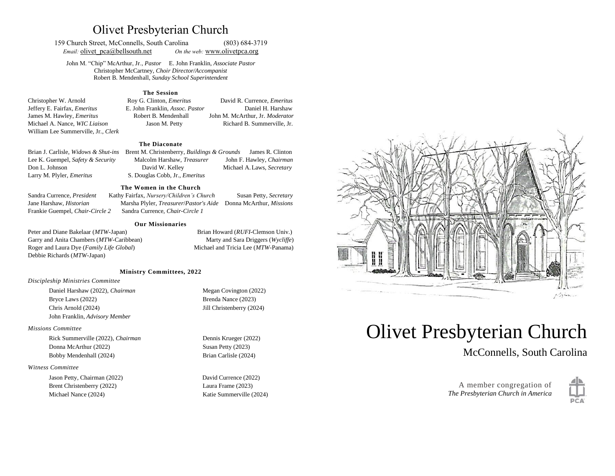## Olivet Presbyterian Church

159 Church Street, McConnells, South Carolina (803) 684-3719 *Email:* olivet pca@bellsouth.net *On the web:* [www.olivetp](about:blank)ca.org

John M. "Chip" McArthur, Jr., *Pastor* E. John Franklin, *Associate Pastor* Christopher McCartney, *Choir Director/Accompanist* Robert B. Mendenhall, *Sunday School Superintendent*

#### **The Session**

Christopher W. Arnold Roy G. Clinton, *Emeritus* David R. Currence, *Emeritus* Jeffery E. Fairfax, *Emeritus* E. John Franklin, *Assoc. Pastor* Daniel H. Harshaw James M. Hawley, *Emeritus* Robert B. Mendenhall John M. McArthur, Jr. *Moderator* Michael A. Nance, *WIC Liaison* Jason M. Petty Richard B. Summerville, Jr. William Lee Summerville, Jr., *Clerk*

#### **The Diaconate**

Brian J. Carlisle, *Widows & Shut-ins* Brent M. Christenberry, *Buildings & Grounds* James R. Clinton Lee K. Guempel, *Safety & Security* Malcolm Harshaw, *Treasurer* John F. Hawley, *Chairman* Don L. Johnson David W. Kelley Michael A.Laws, *Secretary* Larry M. Plyler, *Emeritus* S. Douglas Cobb, Jr., *Emeritus*

#### **The Women in the Church**

Sandra Currence, *President* Kathy Fairfax, *Nursery/Children's Church* Susan Petty, *Secretary* Jane Harshaw, *Historian* Marsha Plyler, *Treasurer*/*Pastor's Aide* Donna McArthur, *Missions* Frankie Guempel, *Chair-Circle 2* Sandra Currence, *Chair-Circle 1*

#### **Our Missionaries**

Peter and Diane Bakelaar (*MTW*-Japan) Brian Howard (*RUFI*-Clemson Univ.) Garry and Anita Chambers (*MTW*-Caribbean) Marty and Sara Driggers (*Wycliffe*) Roger and Laura Dye (*Family Life Global*) Michael and Tricia Lee (*MTW*-Panama) Debbie Richards (*MTW*-Japan)

#### **Ministry Committees, 2022**

#### *Discipleship Ministries Committee*

Daniel Harshaw (2022), *Chairman* Megan Covington (2022) Bryce Laws (2022) Brenda Nance (2023) Chris Arnold (2024) Jill Christenberry (2024) John Franklin, *Advisory Member*

#### *Missions Committee*

Rick Summerville (2022), *Chairman* Dennis Krueger (2022) Donna McArthur (2022) Susan Petty (2023) Bobby Mendenhall (2024) Brian Carlisle (2024)

#### *Witness Committee*

Jason Petty, Chairman (2022) David Currence (2022) Brent Christenberry (2022) Laura Frame (2023) Michael Nance (2024) Katie Summerville (2024)



# Olivet Presbyterian Church

McConnells, South Carolina

A member congregation of *The Presbyterian Church in America*

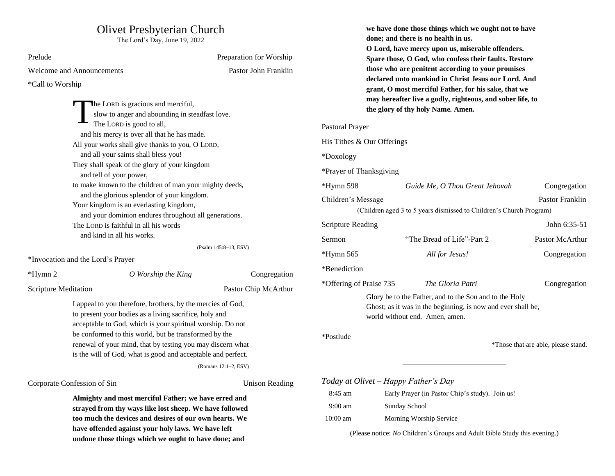# Olivet Presbyterian Church

The Lord's Day, June 19, 2022

| Prelude                                                                                                                                                                                                                                                                                                                                                                                                                                                                                                                                              | Preparation for Worship |                                                                                                             |
|------------------------------------------------------------------------------------------------------------------------------------------------------------------------------------------------------------------------------------------------------------------------------------------------------------------------------------------------------------------------------------------------------------------------------------------------------------------------------------------------------------------------------------------------------|-------------------------|-------------------------------------------------------------------------------------------------------------|
| Welcome and Announcements                                                                                                                                                                                                                                                                                                                                                                                                                                                                                                                            | Pastor John Franklin    |                                                                                                             |
| *Call to Worship                                                                                                                                                                                                                                                                                                                                                                                                                                                                                                                                     |                         | C                                                                                                           |
| The LORD is gracious and merciful,<br>slow to anger and abounding in steadfast love.<br>The LORD is good to all,<br>and his mercy is over all that he has made.<br>All your works shall give thanks to you, O LORD,<br>and all your saints shall bless you!<br>They shall speak of the glory of your kingdom<br>and tell of your power,<br>to make known to the children of man your mighty deeds,<br>and the glorious splendor of your kingdom.<br>Your kingdom is an everlasting kingdom,<br>and your dominion endures throughout all generations. |                         | t<br>Pastoral Prayer<br>His Tithes & O<br>*Doxology<br>*Prayer of Tha<br>*Hymn 598<br>Children's Mes<br>(Ch |
| The LORD is faithful in all his words                                                                                                                                                                                                                                                                                                                                                                                                                                                                                                                |                         | Scripture Read                                                                                              |
| and kind in all his works.                                                                                                                                                                                                                                                                                                                                                                                                                                                                                                                           |                         | Sermon                                                                                                      |
| *Invocation and the Lord's Prayer                                                                                                                                                                                                                                                                                                                                                                                                                                                                                                                    | (Psalm 145:8-13, ESV)   | *Hymn 565                                                                                                   |
| *Hymn 2<br>O Worship the King                                                                                                                                                                                                                                                                                                                                                                                                                                                                                                                        | Congregation            | *Benediction                                                                                                |
| Scripture Meditation                                                                                                                                                                                                                                                                                                                                                                                                                                                                                                                                 | Pastor Chip McArthur    | *Offering of Pr                                                                                             |
| I appeal to you therefore, brothers, by the mercies of God,<br>to present your bodies as a living sacrifice, holy and<br>acceptable to God, which is your spiritual worship. Do not<br>be conformed to this world, but be transformed by the<br>renewal of your mind, that by testing you may discern what<br>is the will of God, what is good and acceptable and perfect.<br>(Romans 12:1-2, ESV)                                                                                                                                                   |                         | Ñ<br>*Postlude                                                                                              |
| Corporate Confession of Sin                                                                                                                                                                                                                                                                                                                                                                                                                                                                                                                          | <b>Unison Reading</b>   | Today at Oliv                                                                                               |
| Almighty and most merciful Father; we have erred and<br>strayed from thy ways like lost sheep. We have followed<br>too much the devices and desires of our own hearts. We<br>have offended against your holy laws. We have left                                                                                                                                                                                                                                                                                                                      |                         | 8:45 am<br>$9:00$ am<br>10:00 am<br>$\sqrt{D}1$                                                             |

**undone those things which we ought to have done; and** 

|                            | we have done those things which we ought not to have<br>done; and there is no health in us.<br>O Lord, have mercy upon us, miserable offenders.<br>Spare those, O God, who confess their faults. Restore<br>those who are penitent according to your promises<br>declared unto mankind in Christ Jesus our Lord. And<br>grant, O most merciful Father, for his sake, that we<br>may hereafter live a godly, righteous, and sober life, to<br>the glory of thy holy Name. Amen. |                                     |
|----------------------------|--------------------------------------------------------------------------------------------------------------------------------------------------------------------------------------------------------------------------------------------------------------------------------------------------------------------------------------------------------------------------------------------------------------------------------------------------------------------------------|-------------------------------------|
| Pastoral Prayer            |                                                                                                                                                                                                                                                                                                                                                                                                                                                                                |                                     |
| His Tithes & Our Offerings |                                                                                                                                                                                                                                                                                                                                                                                                                                                                                |                                     |
| *Doxology                  |                                                                                                                                                                                                                                                                                                                                                                                                                                                                                |                                     |
| *Prayer of Thanksgiving    |                                                                                                                                                                                                                                                                                                                                                                                                                                                                                |                                     |
| *Hymn 598                  | Guide Me, O Thou Great Jehovah                                                                                                                                                                                                                                                                                                                                                                                                                                                 | Congregation                        |
| Children's Message         | (Children aged 3 to 5 years dismissed to Children's Church Program)                                                                                                                                                                                                                                                                                                                                                                                                            | Pastor Franklin                     |
| <b>Scripture Reading</b>   |                                                                                                                                                                                                                                                                                                                                                                                                                                                                                | John 6:35-51                        |
| Sermon                     | "The Bread of Life"-Part 2                                                                                                                                                                                                                                                                                                                                                                                                                                                     | Pastor McArthur                     |
| *Hymn 565                  | All for Jesus!                                                                                                                                                                                                                                                                                                                                                                                                                                                                 | Congregation                        |
| *Benediction               |                                                                                                                                                                                                                                                                                                                                                                                                                                                                                |                                     |
| *Offering of Praise 735    | The Gloria Patri                                                                                                                                                                                                                                                                                                                                                                                                                                                               | Congregation                        |
|                            | Glory be to the Father, and to the Son and to the Holy<br>Ghost; as it was in the beginning, is now and ever shall be,<br>world without end. Amen, amen.                                                                                                                                                                                                                                                                                                                       |                                     |
| *Postlude                  |                                                                                                                                                                                                                                                                                                                                                                                                                                                                                | *Those that are able, please stand. |
|                            | Today at Olivet – Happy Father's Day                                                                                                                                                                                                                                                                                                                                                                                                                                           |                                     |

| $8:45$ am         | Early Prayer (in Pastor Chip's study). Join us! |
|-------------------|-------------------------------------------------|
| $9:00 \text{ am}$ | Sunday School                                   |
| $10:00$ am        | Morning Worship Service                         |

(Please notice: *No* Children's Groups and Adult Bible Study this evening.)